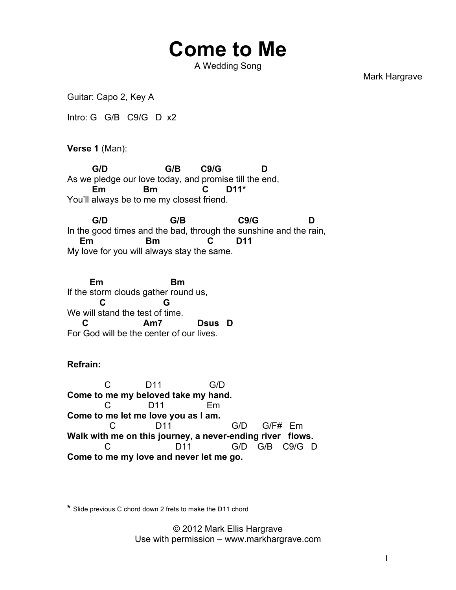## **Come to Me**

A Wedding Song

Mark Hargrave

Guitar: Capo 2, Key A

Intro: G G/B C9/G D x2

**Verse 1** (Man):

 **G/D G/B C9/G D** As we pledge our love today, and promise till the end,  **Em Bm C D11\*** You'll always be to me my closest friend.

 **G/D G/B C9/G D** In the good times and the bad, through the sunshine and the rain,  **Em Bm C D11** My love for you will always stay the same.

 **Em Bm** If the storm clouds gather round us,  **C G** We will stand the test of time.  **C Am7 Dsus D** For God will be the center of our lives.

## **Refrain:**

 C D11 G/D **Come to me my beloved take my hand.**  C D11 Em **Come to me let me love you as I am.** C D11 G/D G/F# Em **Walk with me on this journey, a never-ending river flows.** C D11 G/D G/B C9/G D **Come to me my love and never let me go.**

**\*** Slide previous C chord down 2 frets to make the D11 chord

© 2012 Mark Ellis Hargrave Use with permission – www.markhargrave.com